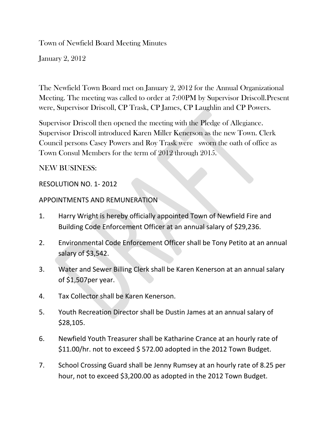Town of Newfield Board Meeting Minutes

January 2, 2012

The Newfield Town Board met on January 2, 2012 for the Annual Organizational Meeting. The meeting was called to order at 7:00PM by Supervisor Driscoll.Present were, Supervisor Driscoll, CP Trask, CP James, CP Laughlin and CP Powers.

Supervisor Driscoll then opened the meeting with the Pledge of Allegiance. Supervisor Driscoll introduced Karen Miller Kenerson as the new Town. Clerk Council persons Casey Powers and Roy Trask were sworn the oath of office as Town Consul Members for the term of 2012 through 2015.

### NEW BUSINESS:

#### RESOLUTION NO. 1- 2012

### APPOINTMENTS AND REMUNERATION

- 1. Harry Wright is hereby officially appointed Town of Newfield Fire and Building Code Enforcement Officer at an annual salary of \$29,236.
- 2. Environmental Code Enforcement Officer shall be Tony Petito at an annual salary of \$3,542.
- 3. Water and Sewer Billing Clerk shall be Karen Kenerson at an annual salary of \$1,507per year.
- 4. Tax Collector shall be Karen Kenerson.
- 5. Youth Recreation Director shall be Dustin James at an annual salary of \$28,105.
- 6. Newfield Youth Treasurer shall be Katharine Crance at an hourly rate of \$11.00/hr. not to exceed \$572.00 adopted in the 2012 Town Budget.
- 7. School Crossing Guard shall be Jenny Rumsey at an hourly rate of 8.25 per hour, not to exceed \$3,200.00 as adopted in the 2012 Town Budget.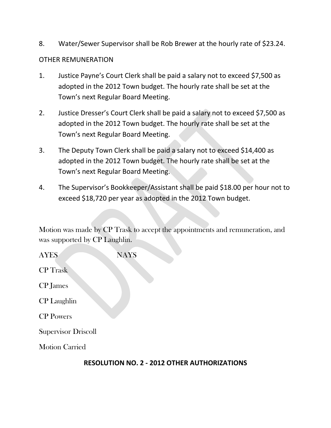8. Water/Sewer Supervisor shall be Rob Brewer at the hourly rate of \$23.24.

### OTHER REMUNERATION

- 1. Justice Payne's Court Clerk shall be paid a salary not to exceed \$7,500 as adopted in the 2012 Town budget. The hourly rate shall be set at the Town's next Regular Board Meeting.
- 2. Justice Dresser's Court Clerk shall be paid a salary not to exceed \$7,500 as adopted in the 2012 Town budget. The hourly rate shall be set at the Town's next Regular Board Meeting.
- 3. The Deputy Town Clerk shall be paid a salary not to exceed \$14,400 as adopted in the 2012 Town budget. The hourly rate shall be set at the Town's next Regular Board Meeting.
- 4. The Supervisor's Bookkeeper/Assistant shall be paid \$18.00 per hour not to exceed \$18,720 per year as adopted in the 2012 Town budget.

Motion was made by CP Trask to accept the appointments and remuneration, and was supported by CP Laughlin.

AYES NAYS CP Trask CP James CP Laughlin CP Powers Supervisor Driscoll Motion Carried

### **RESOLUTION NO. 2 - 2012 OTHER AUTHORIZATIONS**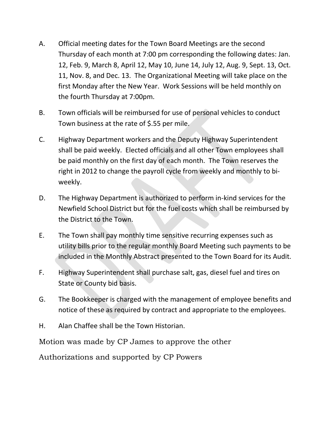- A. Official meeting dates for the Town Board Meetings are the second Thursday of each month at 7:00 pm corresponding the following dates: Jan. 12, Feb. 9, March 8, April 12, May 10, June 14, July 12, Aug. 9, Sept. 13, Oct. 11, Nov. 8, and Dec. 13. The Organizational Meeting will take place on the first Monday after the New Year. Work Sessions will be held monthly on the fourth Thursday at 7:00pm.
- B. Town officials will be reimbursed for use of personal vehicles to conduct Town business at the rate of \$.55 per mile.
- C. Highway Department workers and the Deputy Highway Superintendent shall be paid weekly. Elected officials and all other Town employees shall be paid monthly on the first day of each month. The Town reserves the right in 2012 to change the payroll cycle from weekly and monthly to biweekly.
- D. The Highway Department is authorized to perform in-kind services for the Newfield School District but for the fuel costs which shall be reimbursed by the District to the Town.
- E. The Town shall pay monthly time sensitive recurring expenses such as utility bills prior to the regular monthly Board Meeting such payments to be included in the Monthly Abstract presented to the Town Board for its Audit.
- F. Highway Superintendent shall purchase salt, gas, diesel fuel and tires on State or County bid basis.
- G. The Bookkeeper is charged with the management of employee benefits and notice of these as required by contract and appropriate to the employees.
- H. Alan Chaffee shall be the Town Historian.

Motion was made by CP James to approve the other

Authorizations and supported by CP Powers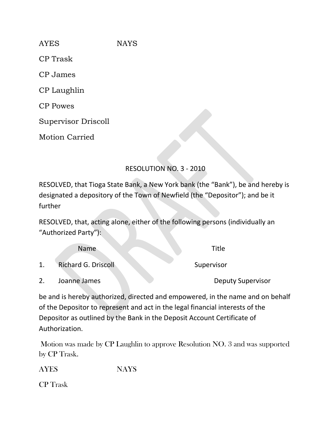AYES NAYS CP Trask CP James CP Laughlin CP Powes Supervisor Driscoll

Motion Carried

# RESOLUTION NO. 3 - 2010

RESOLVED, that Tioga State Bank, a New York bank (the "Bank"), be and hereby is designated a depository of the Town of Newfield (the "Depositor"); and be it further

RESOLVED, that, acting alone, either of the following persons (individually an "Authorized Party"):

|    | <b>Name</b>                | Title                    |
|----|----------------------------|--------------------------|
| 1. | <b>Richard G. Driscoll</b> | Supervisor               |
|    | Joanne James               | <b>Deputy Supervisor</b> |

be and is hereby authorized, directed and empowered, in the name and on behalf of the Depositor to represent and act in the legal financial interests of the Depositor as outlined by the Bank in the Deposit Account Certificate of Authorization.

Motion was made by CP Laughlin to approve Resolution NO. 3 and was supported by CP Trask.

AYES NAYS

CP Trask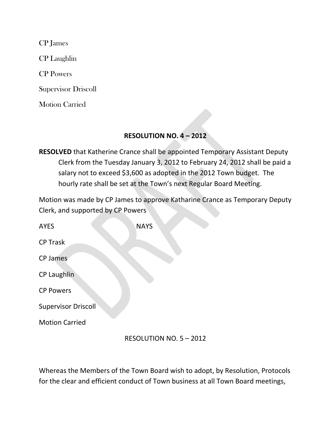CP James

CP Laughlin

CP Powers

Supervisor Driscoll

Motion Carried

## **RESOLUTION NO. 4 – 2012**

**RESOLVED** that Katherine Crance shall be appointed Temporary Assistant Deputy Clerk from the Tuesday January 3, 2012 to February 24, 2012 shall be paid a salary not to exceed \$3,600 as adopted in the 2012 Town budget. The hourly rate shall be set at the Town's next Regular Board Meeting.

Motion was made by CP James to approve Katharine Crance as Temporary Deputy Clerk, and supported by CP Powers

AYES NAYS CP Trask CP James CP Laughlin CP Powers Supervisor Driscoll Motion Carried

### RESOLUTION NO. 5 – 2012

Whereas the Members of the Town Board wish to adopt, by Resolution, Protocols for the clear and efficient conduct of Town business at all Town Board meetings,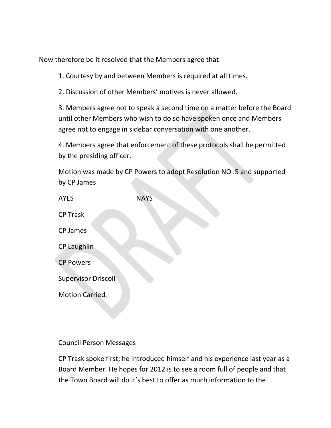Now therefore be it resolved that the Members agree that

1. Courtesy by and between Members is required at all times.

2. Discussion of other Members' motives is never allowed.

3. Members agree not to speak a second time on a matter before the Board until other Members who wish to do so have spoken once and Members agree not to engage in sidebar conversation with one another.

4. Members agree that enforcement of these protocols shall be permitted by the presiding officer.

Motion was made by CP Powers to adopt Resolution NO .5 and supported by CP James

| <b>AYES</b>                | <b>NAYS</b> |
|----------------------------|-------------|
| <b>CP Trask</b>            |             |
| CP James                   |             |
| <b>CP Laughlin</b>         |             |
| <b>CP Powers</b>           |             |
| <b>Supervisor Driscoll</b> |             |
| <b>Motion Carried.</b>     |             |

### Council Person Messages

CP Trask spoke first; he introduced himself and his experience last year as a Board Member. He hopes for 2012 is to see a room full of people and that the Town Board will do it's best to offer as much information to the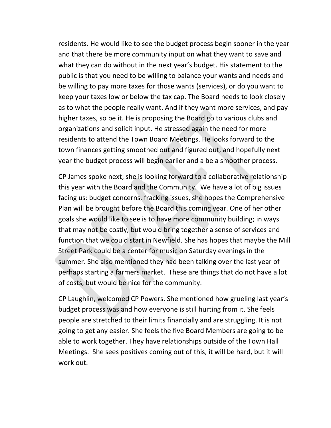residents. He would like to see the budget process begin sooner in the year and that there be more community input on what they want to save and what they can do without in the next year's budget. His statement to the public is that you need to be willing to balance your wants and needs and be willing to pay more taxes for those wants (services), or do you want to keep your taxes low or below the tax cap. The Board needs to look closely as to what the people really want. And if they want more services, and pay higher taxes, so be it. He is proposing the Board go to various clubs and organizations and solicit input. He stressed again the need for more residents to attend the Town Board Meetings. He looks forward to the town finances getting smoothed out and figured out, and hopefully next year the budget process will begin earlier and a be a smoother process.

CP James spoke next; she is looking forward to a collaborative relationship this year with the Board and the Community. We have a lot of big issues facing us: budget concerns, fracking issues, she hopes the Comprehensive Plan will be brought before the Board this coming year. One of her other goals she would like to see is to have more community building; in ways that may not be costly, but would bring together a sense of services and function that we could start in Newfield. She has hopes that maybe the Mill Street Park could be a center for music on Saturday evenings in the summer. She also mentioned they had been talking over the last year of perhaps starting a farmers market. These are things that do not have a lot of costs, but would be nice for the community.

CP Laughlin, welcomed CP Powers. She mentioned how grueling last year's budget process was and how everyone is still hurting from it. She feels people are stretched to their limits financially and are struggling. It is not going to get any easier. She feels the five Board Members are going to be able to work together. They have relationships outside of the Town Hall Meetings. She sees positives coming out of this, it will be hard, but it will work out.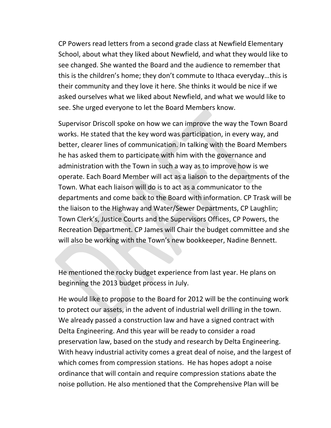CP Powers read letters from a second grade class at Newfield Elementary School, about what they liked about Newfield, and what they would like to see changed. She wanted the Board and the audience to remember that this is the children's home; they don't commute to Ithaca everyday…this is their community and they love it here. She thinks it would be nice if we asked ourselves what we liked about Newfield, and what we would like to see. She urged everyone to let the Board Members know.

Supervisor Driscoll spoke on how we can improve the way the Town Board works. He stated that the key word was participation, in every way, and better, clearer lines of communication. In talking with the Board Members he has asked them to participate with him with the governance and administration with the Town in such a way as to improve how is we operate. Each Board Member will act as a liaison to the departments of the Town. What each liaison will do is to act as a communicator to the departments and come back to the Board with information. CP Trask will be the liaison to the Highway and Water/Sewer Departments, CP Laughlin; Town Clerk's, Justice Courts and the Supervisors Offices, CP Powers, the Recreation Department. CP James will Chair the budget committee and she will also be working with the Town's new bookkeeper, Nadine Bennett.

He mentioned the rocky budget experience from last year. He plans on beginning the 2013 budget process in July.

He would like to propose to the Board for 2012 will be the continuing work to protect our assets, in the advent of industrial well drilling in the town. We already passed a construction law and have a signed contract with Delta Engineering. And this year will be ready to consider a road preservation law, based on the study and research by Delta Engineering. With heavy industrial activity comes a great deal of noise, and the largest of which comes from compression stations. He has hopes adopt a noise ordinance that will contain and require compression stations abate the noise pollution. He also mentioned that the Comprehensive Plan will be